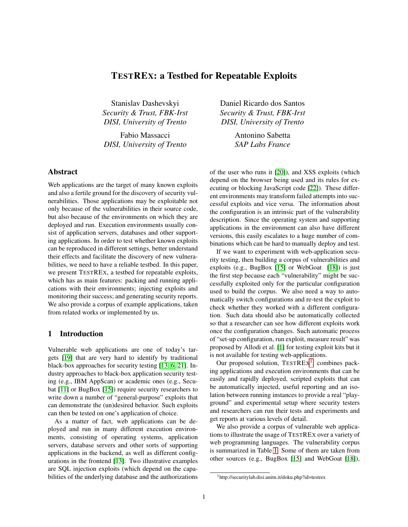# TESTREX: a Testbed for Repeatable Exploits

Stanislav Dashevskyi *Security & Trust, FBK-Irst DISI, University of Trento*

Fabio Massacci *DISI, University of Trento*

# Abstract

Web applications are the target of many known exploits and also a fertile ground for the discovery of security vulnerabilities. Those applications may be exploitable not only because of the vulnerabilities in their source code, but also because of the environments on which they are deployed and run. Execution environments usually consist of application servers, databases and other supporting applications. In order to test whether known exploits can be reproduced in different settings, better understand their effects and facilitate the discovery of new vulnerabilities, we need to have a reliable testbed. In this paper, we present TESTREX, a testbed for repeatable exploits, which has as main features: packing and running applications with their environments; injecting exploits and monitoring their success; and generating security reports. We also provide a corpus of example applications, taken from related works or implemented by us.

### 1 Introduction

Vulnerable web applications are one of today's targets [\[19\]](#page-7-0) that are very hard to identify by traditional black-box approaches for security testing [\[13,](#page-7-1) [6,](#page-7-2) [21\]](#page-7-3). Industry approaches to black-box application security testing (e.g., IBM AppScan) or academic ones (e.g., Secubat [\[11\]](#page-7-4) or BugBox [\[15\]](#page-7-5)) require security researchers to write down a number of "general-purpose" exploits that can demonstrate the (un)desired behavior. Such exploits can then be tested on one's application of choice.

As a matter of fact, web applications can be deployed and run in many different execution environments, consisting of operating systems, application servers, database servers and other sorts of supporting applications in the backend, as well as different configurations in the frontend [\[13\]](#page-7-1). Two illustrative examples are SQL injection exploits (which depend on the capabilities of the underlying database and the authorizations Daniel Ricardo dos Santos *Security & Trust, FBK-Irst DISI, University of Trento*

> Antonino Sabetta *SAP Labs France*

of the user who runs it [\[20\]](#page-7-6)), and XSS exploits (which depend on the browser being used and its rules for executing or blocking JavaScript code [\[22\]](#page-7-7)). These different environments may transform failed attempts into successful exploits and vice versa. The information about the configuration is an intrinsic part of the vulnerability description. Since the operating system and supporting applications in the environment can also have different versions, this easily escalates to a huge number of combinations which can be hard to manually deploy and test.

If we want to experiment with web-application security testing, then building a corpus of vulnerabilities and exploits (e.g., BugBox [\[15\]](#page-7-5) or WebGoat [\[18\]](#page-7-8)) is just the first step because each "vulnerability" might be successfully exploited only for the particular configuration used to build the corpus. We also need a way to automatically switch configurations and re-test the exploit to check whether they worked with a different configuration. Such data should also be automatically collected so that a researcher can see how different exploits work once the configuration changes. Such automatic process of "set-up configuration, run exploit, measure result" was proposed by Allodi et al. [\[1\]](#page-7-9) for testing exploit kits but it is not available for testing web-applications.

Our proposed solution,  $TESTREX<sup>1</sup>$  $TESTREX<sup>1</sup>$  $TESTREX<sup>1</sup>$ , combines packing applications and execution environments that can be easily and rapidly deployed, scripted exploits that can be automatically injected, useful reporting and an isolation between running instances to provide a real "playground" and experimental setup where security testers and researchers can run their tests and experiments and get reports at various levels of detail.

We also provide a corpus of vulnerable web applications to illustrate the usage of TESTREX over a variety of web programming languages. The vulnerability corpus is summarized in Table [1.](#page-1-0) Some of them are taken from other sources (e.g., BugBox [\[15\]](#page-7-5) and WebGoat [\[18\]](#page-7-8)),

<span id="page-0-0"></span><sup>1</sup>http://securitylab.disi.unitn.it/doku.php?id=testrex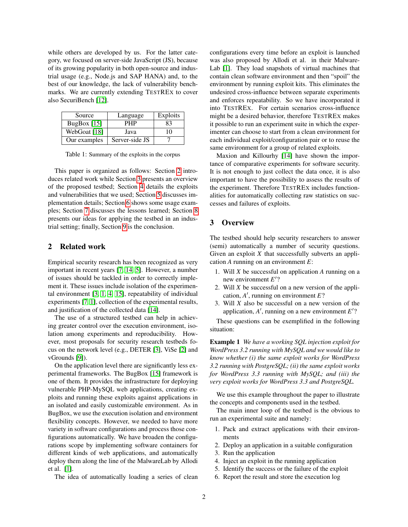while others are developed by us. For the latter category, we focused on server-side JavaScript (JS), because of its growing popularity in both open-source and industrial usage (e.g., Node.js and SAP HANA) and, to the best of our knowledge, the lack of vulnerability benchmarks. We are currently extending TESTREX to cover also SecuriBench [\[12\]](#page-7-10).

| Source        | Language       | Exploits |
|---------------|----------------|----------|
| BugBox $[15]$ | PHP            | 83       |
| WebGoat [18]  | Java           | 10       |
| Our examples  | Server-side JS |          |

<span id="page-1-0"></span>Table 1: Summary of the exploits in the corpus

This paper is organized as follows: Section [2](#page-1-1) introduces related work while Section [3](#page-1-2) presents an overview of the proposed testbed; Section [4](#page-2-0) details the exploits and vulnerabilities that we used; Section [5](#page-3-0) discusses implementation details; Section [6](#page-5-0) shows some usage examples; Section [7](#page-6-0) discusses the lessons learned; Section [8](#page-6-1) presents our ideas for applying the testbed in an industrial setting; finally, Section [9](#page-7-11) is the conclusion.

#### <span id="page-1-1"></span>2 Related work

Empirical security research has been recognized as very important in recent years [\[7,](#page-7-12) [14,](#page-7-13) [5\]](#page-7-14). However, a number of issues should be tackled in order to correctly implement it. These issues include isolation of the experimental environment [\[3,](#page-7-15) [1,](#page-7-9) [4,](#page-7-16) [15\]](#page-7-5), repeatability of individual experiments [\[7,](#page-7-12) [1\]](#page-7-9), collection of the experimental results, and justification of the collected data [\[14\]](#page-7-13).

The use of a structured testbed can help in achieving greater control over the execution environment, isolation among experiments and reproducibility. However, most proposals for security research testbeds focus on the network level (e.g., DETER [\[3\]](#page-7-15), ViSe [\[2\]](#page-7-17) and vGrounds [\[9\]](#page-7-18)).

On the application level there are significantly less experimental frameworks. The BugBox [\[15\]](#page-7-5) framework is one of them. It provides the infrastructure for deploying vulnerable PHP-MySQL web applications, creating exploits and running these exploits against applications in an isolated and easily customizable environment. As in BugBox, we use the execution isolation and environment flexibility concepts. However, we needed to have more variety in software configurations and process those configurations automatically. We have broaden the configurations scope by implementing software containers for different kinds of web applications, and automatically deploy them along the line of the MalwareLab by Allodi et al. [\[1\]](#page-7-9).

The idea of automatically loading a series of clean

configurations every time before an exploit is launched was also proposed by Allodi et al. in their Malware-Lab [\[1\]](#page-7-9). They load snapshots of virtual machines that contain clean software environment and then "spoil" the environment by running exploit kits. This eliminates the undesired cross-influence between separate experiments and enforces repeatability. So we have incorporated it into TESTREX. For certain scenarios cross-influence might be a desired behavior, therefore TESTREX makes it possible to run an experiment suite in which the experimenter can choose to start from a clean environment for each individual exploit/configuration pair or to reuse the same environment for a group of related exploits.

Maxion and Killourhy [\[14\]](#page-7-13) have shown the importance of comparative experiments for software security. It is not enough to just collect the data once, it is also important to have the possibility to assess the results of the experiment. Therefore TESTREX includes functionalities for automatically collecting raw statistics on successes and failures of exploits.

#### <span id="page-1-2"></span>3 Overview

The testbed should help security researchers to answer (semi) automatically a number of security questions. Given an exploit *X* that successfully subverts an application *A* running on an environment *E*:

- 1. Will *X* be successful on application *A* running on a new environment  $E'$ ?
- 2. Will *X* be successful on a new version of the application,  $A'$ , running on environment  $E$ ?
- 3. Will *X* also be successful on a new version of the application,  $A'$ , running on a new environment  $E'$ ?

<span id="page-1-3"></span>These questions can be exemplified in the following situation:

Example 1 *We have a working SQL injection exploit for WordPress 3.2 running with MySQL and we would like to know whether (i) the same exploit works for WordPress 3.2 running with PostgreSQL; (ii) the same exploit works for WordPress 3.3 running with MySQL; and (iii) the very exploit works for WordPress 3.3 and PostgreSQL.*

We use this example throughout the paper to illustrate the concepts and components used in the testbed.

The main inner loop of the testbed is the obvious to run an experimental suite and namely:

- 1. Pack and extract applications with their environments
- 2. Deploy an application in a suitable configuration
- 3. Run the application
- 4. Inject an exploit in the running application
- 5. Identify the success or the failure of the exploit
- 6. Report the result and store the execution log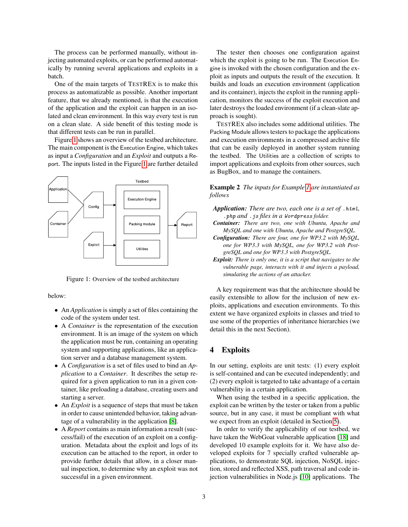The process can be performed manually, without injecting automated exploits, or can be performed automatically by running several applications and exploits in a batch.

One of the main targets of TESTREX is to make this process as automatizable as possible. Another important feature, that we already mentioned, is that the execution of the application and the exploit can happen in an isolated and clean environment. In this way every test is run on a clean slate. A side benefit of this testing mode is that different tests can be run in parallel.

Figure [1](#page-2-1) shows an overview of the testbed architecture. The main component is the Execution Engine, which takes as input a *Configuration* and an *Exploit* and outputs a Report. The inputs listed in the Figure [1](#page-2-1) are further detailed



<span id="page-2-1"></span>Figure 1: Overview of the testbed architecture

below:

- An *Application* is simply a set of files containing the code of the system under test.
- A *Container* is the representation of the execution environment. It is an image of the system on which the application must be run, containing an operating system and supporting applications, like an application server and a database management system.
- A *Configuration* is a set of files used to bind an *Application* to a *Container*. It describes the setup required for a given application to run in a given container, like preloading a database, creating users and starting a server.
- An *Exploit* is a sequence of steps that must be taken in order to cause unintended behavior, taking advantage of a vulnerability in the application [\[8\]](#page-7-19).
- A *Report* contains as main information a result (success/fail) of the execution of an exploit on a configuration. Metadata about the exploit and logs of its execution can be attached to the report, in order to provide further details that allow, in a closer manual inspection, to determine why an exploit was not successful in a given environment.

The tester then chooses one configuration against which the exploit is going to be run. The Execution Engine is invoked with the chosen configuration and the exploit as inputs and outputs the result of the execution. It builds and loads an execution environment (application and its container), injects the exploit in the running application, monitors the success of the exploit execution and later destroys the loaded environment (if a clean-slate approach is sought).

TESTREX also includes some additional utilities. The Packing Module allows testers to package the applications and execution environments in a compressed archive file that can be easily deployed in another system running the testbed. The Utilities are a collection of scripts to import applications and exploits from other sources, such as BugBox, and to manage the containers.

Example 2 *The inputs for Example [1](#page-1-3) are instantiated as follows*

*Application: There are two, each one is a set of* .html*,* .php *and* .js *files in a* Wordpress *folder.*

- *Container: There are two, one with Ubuntu, Apache and MySQL and one with Ubuntu, Apache and PostgreSQL.*
- *Configuration: There are four, one for WP3.2 with MySQL, one for WP3.3 with MySQL, one for WP3.2 with PostgreSQL and one for WP3.3 with PostgreSQL.*
- *Exploit: There is only one, it is a script that navigates to the vulnerable page, interacts with it and injects a payload, simulating the actions of an attacker.*

A key requirement was that the architecture should be easily extensible to allow for the inclusion of new exploits, applications and execution environments. To this extent we have organized exploits in classes and tried to use some of the properties of inheritance hierarchies (we detail this in the next Section).

### <span id="page-2-0"></span>4 Exploits

In our setting, exploits are unit tests: (1) every exploit is self-contained and can be executed independently; and (2) every exploit is targeted to take advantage of a certain vulnerability in a certain application.

When using the testbed in a specific application, the exploit can be written by the tester or taken from a public source, but in any case, it must be compliant with what we expect from an exploit (detailed in Section [5\)](#page-3-0).

In order to verify the applicability of our testbed, we have taken the WebGoat vulnerable application [\[18\]](#page-7-8) and developed 10 example exploits for it. We have also developed exploits for 7 specially crafted vulnerable applications, to demonstrate SQL injection, NoSQL injection, stored and reflected XSS, path traversal and code injection vulnerabilities in Node.js [\[10\]](#page-7-20) applications. The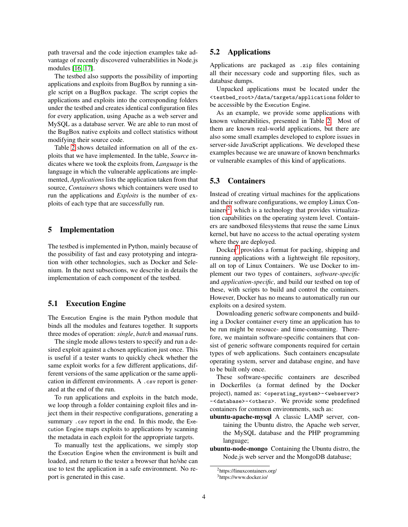path traversal and the code injection examples take advantage of recently discovered vulnerabilities in Node.js modules [\[16,](#page-7-21) [17\]](#page-7-22).

The testbed also supports the possibility of importing applications and exploits from BugBox by running a single script on a BugBox package. The script copies the applications and exploits into the corresponding folders under the testbed and creates identical configuration files for every application, using Apache as a web server and MySQL as a database server. We are able to run most of the BugBox native exploits and collect statistics without modifying their source code.

Table [2](#page-4-0) shows detailed information on all of the exploits that we have implemented. In the table, *Source* indicates where we took the exploits from, *Language* is the language in which the vulnerable applications are implemented, *Applications* lists the application taken from that source, *Containers* shows which containers were used to run the applications and *Exploits* is the number of exploits of each type that are successfully run.

#### <span id="page-3-0"></span>5 Implementation

The testbed is implemented in Python, mainly because of the possibility of fast and easy prototyping and integration with other technologies, such as Docker and Selenium. In the next subsections, we describe in details the implementation of each component of the testbed.

### 5.1 Execution Engine

The Execution Engine is the main Python module that binds all the modules and features together. It supports three modes of operation: *single*, *batch* and *manual* runs.

The single mode allows testers to specify and run a desired exploit against a chosen application just once. This is useful if a tester wants to quickly check whether the same exploit works for a few different applications, different versions of the same application or the same application in different environments. A .csv report is generated at the end of the run.

To run applications and exploits in the batch mode, we loop through a folder containing exploit files and inject them in their respective configurations, generating a summary .csv report in the end. In this mode, the Execution Engine maps exploits to applications by scanning the metadata in each exploit for the appropriate targets.

To manually test the applications, we simply stop the Execution Engine when the environment is built and loaded, and return to the tester a browser that he/she can use to test the application in a safe environment. No report is generated in this case.

### 5.2 Applications

Applications are packaged as .zip files containing all their necessary code and supporting files, such as database dumps.

Unpacked applications must be located under the <testbed\_root>/data/targets/applications folder to be accessible by the Execution Engine.

As an example, we provide some applications with known vulnerabilities, presented in Table [2.](#page-4-0) Most of them are known real-world applications, but there are also some small examples developed to explore issues in server-side JavaScript applications. We developed these examples because we are unaware of known benchmarks or vulnerable examples of this kind of applications.

### <span id="page-3-3"></span>5.3 Containers

Instead of creating virtual machines for the applications and their software configurations, we employ Linux Con-tainers<sup>[2](#page-3-1)</sup>, which is a technology that provides virtualization capabilities on the operating system level. Containers are sandboxed filesystems that reuse the same Linux kernel, but have no access to the actual operating system where they are deployed.

Docker[3](#page-3-2) provides a format for packing, shipping and running applications with a lightweight file repository, all on top of Linux Containers. We use Docker to implement our two types of containers, *software-specific* and *application-specific*, and build our testbed on top of these, with scripts to build and control the containers. However, Docker has no means to automatically run our exploits on a desired system.

Downloading generic software components and building a Docker container every time an application has to be run might be resouce- and time-consuming. Therefore, we maintain software-specific containers that consist of generic software components required for certain types of web applications. Such containers encapsulate operating system, server and database engine, and have to be built only once.

These software-specific containers are described in Dockerfiles (a format defined by the Docker project), named as: <operating\_system>-<webserver> -<database>-<others>. We provide some predefined containers for common environments, such as:

- ubuntu-apache-mysql A classic LAMP server, containing the Ubuntu distro, the Apache web server, the MySQL database and the PHP programming language;
- ubuntu-node-mongo Containing the Ubuntu distro, the Node.js web server and the MongoDB database;

<span id="page-3-1"></span><sup>2</sup>https://linuxcontainers.org/

<span id="page-3-2"></span><sup>3</sup>https://www.docker.io/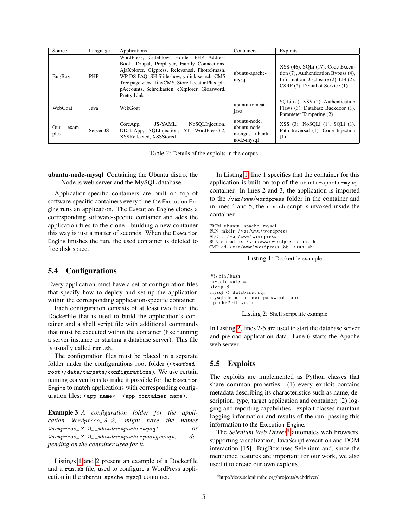| Source               | Language   | Applications                                                                                                                                                                                                                                                                                                 | Containers                                                   | Exploits                                                                                                                                                  |
|----------------------|------------|--------------------------------------------------------------------------------------------------------------------------------------------------------------------------------------------------------------------------------------------------------------------------------------------------------------|--------------------------------------------------------------|-----------------------------------------------------------------------------------------------------------------------------------------------------------|
| BugBox               | <b>PHP</b> | WordPress, CuteFlow, Horde, PHP Address<br>Book, Drupal, Proplayer, Family Connections,<br>AjaXplorer, Gigpress, Relevanssi, PhotoSmash,<br>WP DS FAO, SH Slideshow, yolink search, CMS<br>Tree page view, TinyCMS, Store Locator Plus, ph-<br>pAccounts, Schreikasten, eXtplorer, Glossword,<br>Pretty Link | ubuntu-apache-<br>mysql                                      | XSS (46), SQLi (17), Code Execu-<br>tion $(7)$ , Authentication Bypass $(4)$ ,<br>Information Disclosure (2), LFI (2),<br>CSRF (2), Denial of Service (1) |
| WebGoat              | Java       | WebGoat                                                                                                                                                                                                                                                                                                      | ubuntu-tomcat-<br><sub>1</sub> ava                           | SOLi (2), XSS (2), Authentication<br>Flaws (3), Database Backdoor (1),<br>Parameter Tampering (2)                                                         |
| Our<br>exam-<br>ples | Server JS  | NoSQLInjection,<br>JS-YAML.<br>CoreApp,<br>ST. WordPress3.2.<br>SQLInjection,<br>ODataApp,<br>XSSReflected, XSSStored                                                                                                                                                                                        | ubuntu-node.<br>ubuntu-node-<br>mongo, ubuntu-<br>node-mysql | XSS (3), NoSQLi (1), SQLi (1),<br>Path traversal (1), Code Injection<br>(1)                                                                               |

<span id="page-4-0"></span>Table 2: Details of the exploits in the corpus

#### ubuntu-node-mysql Containing the Ubuntu distro, the Node.js web server and the MySQL database.

Application-specific containers are built on top of software-specific containers every time the Execution Engine runs an application. The Execution Engine clones a corresponding software-specific container and adds the application files to the clone - building a new container this way is just a matter of seconds. When the Execution Engine finishes the run, the used container is deleted to free disk space.

## <span id="page-4-4"></span>5.4 Configurations

Every application must have a set of configuration files that specify how to deploy and set up the application within the corresponding application-specific container.

Each configuration consists of at least two files: the Dockerfile that is used to build the application's container and a shell script file with additional commands that must be executed within the container (like running a server instance or starting a database server). This file is usually called run.sh.

The configuration files must be placed in a separate folder under the configurations root folder (<testbed\_ root>/data/targets/configurations). We use certain naming conventions to make it possible for the Execution Engine to match applications with corresponding configuration files: <app-name>\_\_<app-container-name>.

Example 3 *A configuration folder for the application* Wordpress\_ 3. 2 *, might have the names* Wordpress\_ 3. 2\_ \_ubuntu-apache-mysql *or* Wordpress\_ 3. 2\_ \_ubuntu-apache-postgresql *, depending on the container used for it.*

Listings [1](#page-4-1) and [2](#page-4-2) present an example of a Dockerfile and a run.sh file, used to configure a WordPress application in the ubuntu-apache-mysql container.

In Listing [1,](#page-4-1) line 1 specifies that the container for this application is built on top of the ubuntu-apache-mysql container. In lines 2 and 3, the application is imported to the /var/www/wordpress folder in the container and in lines 4 and 5, the run.sh script is invoked inside the container.

<span id="page-4-1"></span>FROM ubuntu-apache-mysql RUN mkdir / var/www/ wordnress ADD . / var/www/wordpress RUN chmod +x / var /www/ w ord press / run.sh CMD cd / var/www/wordpress && ./ run.sh

Listing 1: Dockerfile example

<span id="page-4-2"></span>#!/bin/bash  $m$  v s a l  $d$  -s a f e  $\&$ sleep 5  $mysql <$  database.sql mysqladmin -u root password toor apache2ctl start

Listing 2: Shell script file example

In Listing [2,](#page-4-2) lines 2-5 are used to start the database server and preload application data. Line 6 starts the Apache web server.

### 5.5 Exploits

The exploits are implemented as Python classes that share common properties: (1) every exploit contains metadata describing its characteristics such as name, description, type, target application and container; (2) logging and reporting capabilities - exploit classes maintain logging information and results of the run, passing this information to the Execution Engine.

The *Selenium Web Driver*[4](#page-4-3) automates web browsers, supporting visualization, JavaScript execution and DOM interaction [\[15\]](#page-7-5). BugBox uses Selenium and, since the mentioned features are important for our work, we also used it to create our own exploits.

<span id="page-4-3"></span><sup>4</sup>http://docs.seleniumhq.org/projects/webdriver/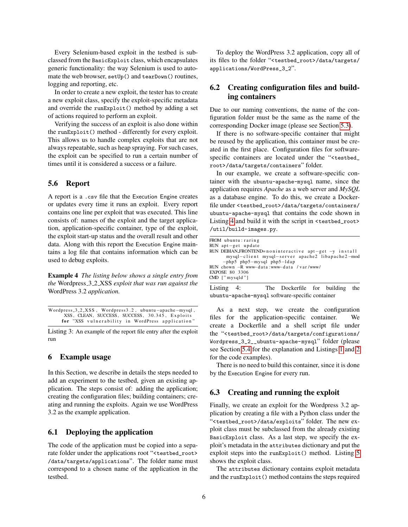Every Selenium-based exploit in the testbed is subclassed from the BasicExploit class, which encapsulates generic functionality: the way Selenium is used to automate the web browser, setUp() and tearDown() routines, logging and reporting, etc.

In order to create a new exploit, the tester has to create a new exploit class, specify the exploit-specific metadata and override the runExploit() method by adding a set of actions required to perform an exploit.

Verifying the success of an exploit is also done within the runExploit() method - differently for every exploit. This allows us to handle complex exploits that are not always repeatable, such as heap spraying. For such cases, the exploit can be specified to run a certain number of times until it is considered a success or a failure.

### 5.6 Report

A report is a .csv file that the Execution Engine creates or updates every time it runs an exploit. Every report contains one line per exploit that was executed. This line consists of: names of the exploit and the target application, application-specific container, type of the exploit, the exploit start-up status and the overall result and other data. Along with this report the Execution Engine maintains a log file that contains information which can be used to debug exploits.

Example 4 *The listing below shows a single entry from the* Wordpress 3 2 XSS *exploit that was run against the* WordPress 3.2 *application.*

```
W ord press _3_2_XSS, W ord press 3 . 2, u b untu - a pache - mysql,
      XSS, CLEAN, SUCCESS, SUCCESS, 30.345, Exploits
     for "XSS vulnerability in WordPress application"
```
Listing 3: An example of the report file entry after the exploit run

### <span id="page-5-0"></span>6 Example usage

In this Section, we describe in details the steps needed to add an experiment to the testbed, given an existing application. The steps consist of: adding the application; creating the configuration files; building containers; creating and running the exploits. Again we use WordPress 3.2 as the example application.

### 6.1 Deploying the application

The code of the application must be copied into a separate folder under the applications root "<testbed\_root> /data/targets/applications". The folder name must correspond to a chosen name of the application in the testbed.

To deploy the WordPress 3.2 application, copy all of its files to the folder "<testbed\_root>/data/targets/ applications/WordPress\_3\_2".

# 6.2 Creating configuration files and building containers

Due to our naming conventions, the name of the configuration folder must be the same as the name of the corresponding Docker image (please see Section [5.3\)](#page-3-3).

If there is no software-specific container that might be reused by the application, this container must be created in the first place. Configuration files for softwarespecific containers are located under the "<testbed\_ root>/data/targets/containers" folder.

In our example, we create a software-specific container with the ubuntu-apache-mysql name, since the application requires *Apache* as a web server and *MySQL* as a database engine. To do this, we create a Dockerfile under <testbed\_root>/data/targets/containers/ ubuntu-apache-mysql that contains the code shown in Listing [4](#page-5-1) and build it with the script in <testbed\_root> /util/build-images.py.

<span id="page-5-1"></span>

| FROM ubuntu:raring                                          |
|-------------------------------------------------------------|
| RUN apt-get update                                          |
| $RUN DEBIAN_FRONTEND = noninteractive apt - get -y install$ |
| mysql-client mysql-server apache2 libapache2-mod            |
| $-php5$ php5-mysql php5-ldap                                |
| RUN chown --R www-data:www-data /var/www/                   |
| EXPOSE 80 3306                                              |
| CMD ["mysqld"]                                              |
|                                                             |

Listing 4: The Dockerfile for building the ubuntu-apache-mysql software-specific container

As a next step, we create the configuration files for the application-specific container. We create a Dockerfile and a shell script file under the "<testbed\_root>/data/targets/configurations/ Wordpress\_3\_2\_\_ubuntu-apache-mysql" folder (please see Section [5.4](#page-4-4) for the explanation and Listings [1](#page-4-1) and [2](#page-4-2) for the code examples).

There is no need to build this container, since it is done by the Execution Engine for every run.

#### 6.3 Creating and running the exploit

Finally, we create an exploit for the Wordpress 3.2 application by creating a file with a Python class under the "<testbed\_root>/data/exploits" folder. The new exploit class must be subclassed from the already existing BasicExploit class. As a last step, we specify the exploit's metadata in the attributes dictionary and put the exploit steps into the runExploit() method. Listing [5](#page-6-2) shows the exploit class.

The attributes dictionary contains exploit metadata and the runExploit() method contains the steps required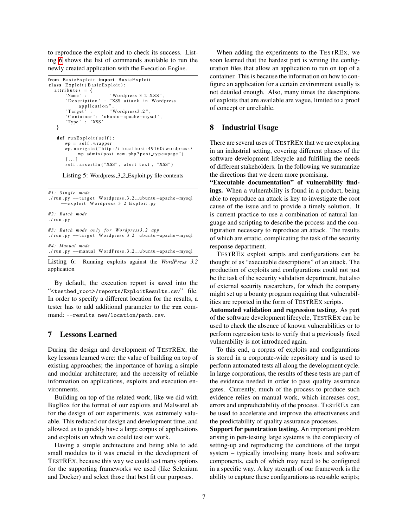to reproduce the exploit and to check its success. Listing [6](#page-6-3) shows the list of commands available to run the newly created application with the Execution Engine.

```
from BasicExploit import BasicExploit
class Exploit (BasicExploit):
  at this is = \{'Name' : ' Wordpress_3_2_XSS'
       ' Description ' : "XSS attack in Wordpress
       application",<br>Target': "Wordpress3.2",
       ' Container ': 'ubuntu-apache-mysql',
       ' Type ' : 'XSS '
   }
   def run Exploit (self):
      wp = self. wrapper
      wp. navigate ("http://localhost:49160/wordpress/
           wp-admin / post-new.php?post_type=page")
      [ . . . . ]self.assertIn("XSS", alert_text, "XSS")
```
Listing 5: Wordpress 3 2 Exploit.py file contents

```
#1: Single mode
./run.py - target Wordpress_3_2__ubuntu -apache-mysql
       −−e x p l o i t W o r d p r e s s 3 2 E x p l o i t . py
# 2 : B at c h mode
./ run.py
#3: Batch mode only for Wordpress3.2 app
./run.py --target Wordpress_3_2__ubuntu -apache-mysql
# 4 : Manual mode
./run.py - manual WordPress_3_2__ubuntu-apache-mysql
```
Listing 6: Running exploits against the *WordPress 3.2* application

By default, the execution report is saved into the "<testbed\_root>/reports/ExploitResults.csv" file. In order to specify a different location for the results, a tester has to add additional parameter to the run command: --results new/location/path.csv.

#### <span id="page-6-0"></span>7 Lessons Learned

During the design and development of TESTREX, the key lessons learned were: the value of building on top of existing approaches; the importance of having a simple and modular architecture; and the necessity of reliable information on applications, exploits and execution environments.

Building on top of the related work, like we did with BugBox for the format of our exploits and MalwareLab for the design of our experiments, was extremely valuable. This reduced our design and development time, and allowed us to quickly have a large corpus of applications and exploits on which we could test our work.

Having a simple architecture and being able to add small modules to it was crucial in the development of TESTREX, because this way we could test many options for the supporting frameworks we used (like Selenium and Docker) and select those that best fit our purposes.

When adding the experiments to the TESTREX, we soon learned that the hardest part is writing the configuration files that allow an application to run on top of a container. This is because the information on how to configure an application for a certain environment usually is not detailed enough. Also, many times the descriptions of exploits that are available are vague, limited to a proof of concept or unreliable.

### <span id="page-6-1"></span>8 Industrial Usage

There are several uses of TESTREX that we are exploring in an industrial setting, covering different phases of the software development lifecycle and fulfilling the needs of different stakeholders. In the following we summarize the directions that we deem more promising.

"Executable documentation" of vulnerability findings. When a vulnerability is found in a product, being able to reproduce an attack is key to investigate the root cause of the issue and to provide a timely solution. It is current practice to use a combination of natural language and scripting to describe the process and the configuration necessary to reproduce an attack. The results of which are erratic, complicating the task of the security response department.

TESTREX exploit scripts and configurations can be thought of as "executable descriptions" of an attack. The production of exploits and configurations could not just be the task of the security validation department, but also of external security researchers, for which the company might set up a bounty program requiring that vulnerabilities are reported in the form of TESTREX scripts.

Automated validation and regression testing. As part of the software development lifecycle, TESTREX can be used to check the absence of known vulnerabilities or to perform regression tests to verify that a previously fixed vulnerability is not introduced again.

To this end, a corpus of exploits and configurations is stored in a corporate-wide repository and is used to perform automated tests all along the development cycle. In large corporations, the results of these tests are part of the evidence needed in order to pass quality assurance gates. Currently, much of the process to produce such evidence relies on manual work, which increases cost, errors and unpredictability of the process. TESTREX can be used to accelerate and improve the effectiveness and the predictability of quality assurance processes.

Support for penetration testing. An important problem arising in pen-testing large systems is the complexity of setting-up and reproducing the conditions of the target system – typically involving many hosts and software components, each of which may need to be configured in a specific way. A key strength of our framework is the ability to capture these configurations as reusable scripts;